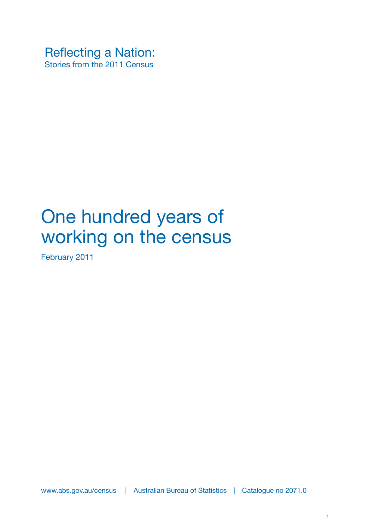Reflecting a Nation: Stories from the 2011 Census

# One hundred years of working on the census

February 2011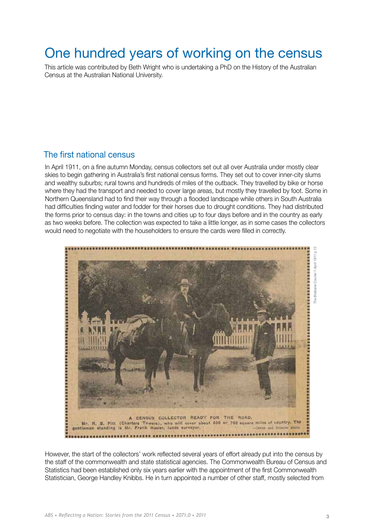### One hundred years of working on the census

This article was contributed by Beth Wright who is undertaking a PhD on the History of the Australian Census at the Australian National University.

#### The first national census

In April 1911, on a fine autumn Monday, census collectors set out all over Australia under mostly clear skies to begin gathering in Australia's first national census forms. They set out to cover inner-city slums and wealthy suburbs; rural towns and hundreds of miles of the outback. They travelled by bike or horse where they had the transport and needed to cover large areas, but mostly they travelled by foot. Some in Northern Queensland had to find their way through a flooded landscape while others in South Australia had difficulties finding water and fodder for their horses due to drought conditions. They had distributed the forms prior to census day: in the towns and cities up to four days before and in the country as early as two weeks before. The collection was expected to take a little longer, as in some cases the collectors would need to negotiate with the householders to ensure the cards were filled in correctly.



However, the start of the collectors' work reflected several years of effort already put into the census by the staff of the commonwealth and state statistical agencies. The Commonwealth Bureau of Census and Statistics had been established only six years earlier with the appointment of the first Commonwealth Statistician, George Handley Knibbs. He in turn appointed a number of other staff, mostly selected from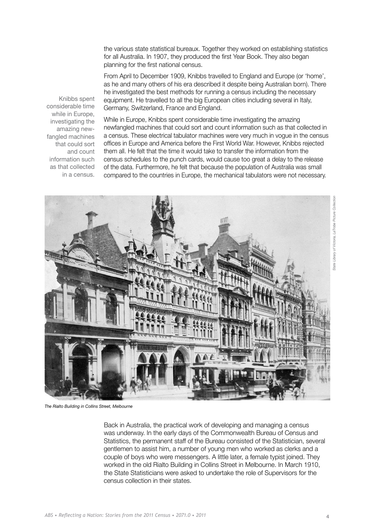the various state statistical bureaux. Together they worked on establishing statistics for all Australia. In 1907, they produced the first Year Book. They also began planning for the first national census.

From April to December 1909, Knibbs travelled to England and Europe (or 'home', as he and many others of his era described it despite being Australian born). There he investigated the best methods for running a census including the necessary equipment. He travelled to all the big European cities including several in Italy, Germany, Switzerland, France and England.

Knibbs spent considerable time while in Europe, investigating the amazing newfangled machines that could sort and count information such as that collected in a census.

While in Europe, Knibbs spent considerable time investigating the amazing newfangled machines that could sort and count information such as that collected in a census. These electrical tabulator machines were very much in vogue in the census offices in Europe and America before the First World War. However, Knibbs rejected them all. He felt that the time it would take to transfer the information from the census schedules to the punch cards, would cause too great a delay to the release of the data. Furthermore, he felt that because the population of Australia was small compared to the countries in Europe, the mechanical tabulators were not necessary.



*The Rialto Building in Collins Street, Melbourne*

Back in Australia, the practical work of developing and managing a census was underway. In the early days of the Commonwealth Bureau of Census and Statistics, the permanent staff of the Bureau consisted of the Statistician, several gentlemen to assist him, a number of young men who worked as clerks and a couple of boys who were messengers. A little later, a female typist joined. They worked in the old Rialto Building in Collins Street in Melbourne. In March 1910, the State Statisticians were asked to undertake the role of Supervisors for the census collection in their states.

*State Library of Victoria, LaTrobe Picture Collection*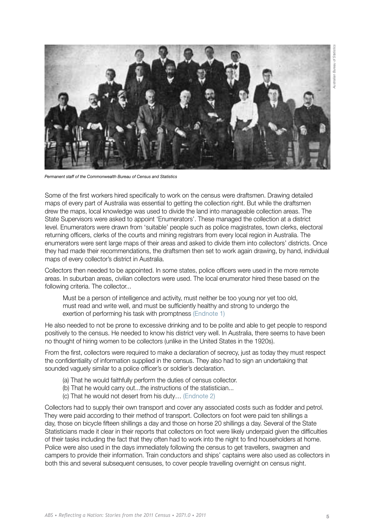<span id="page-4-0"></span>

*Permanent staff of the Commonwealth Bureau of Census and Statistics*

Some of the first workers hired specifically to work on the census were draftsmen. Drawing detailed maps of every part of Australia was essential to getting the collection right. But while the draftsmen drew the maps, local knowledge was used to divide the land into manageable collection areas. The State Supervisors were asked to appoint 'Enumerators'. These managed the collection at a district level. Enumerators were drawn from 'suitable' people such as police magistrates, town clerks, electoral returning officers, clerks of the courts and mining registrars from every local region in Australia. The enumerators were sent large maps of their areas and asked to divide them into collectors' districts. Once they had made their recommendations, the draftsmen then set to work again drawing, by hand, individual maps of every collector's district in Australia.

Collectors then needed to be appointed. In some states, police officers were used in the more remote areas. In suburban areas, civilian collectors were used. The local enumerator hired these based on the following criteria. The collector...

Must be a person of intelligence and activity, must neither be too young nor yet too old, must read and write well, and must be sufficiently healthy and strong to undergo the exertion of performing his task with promptness [\(Endnote 1\)](#page-13-0)

He also needed to not be prone to excessive drinking and to be polite and able to get people to respond positively to the census. He needed to know his district very well. In Australia, there seems to have been no thought of hiring women to be collectors (unlike in the United States in the 1920s).

From the first, collectors were required to make a declaration of secrecy, just as today they must respect the confidentiality of information supplied in the census. They also had to sign an undertaking that sounded vaguely similar to a police officer's or soldier's declaration.

- (a) That he would faithfully perform the duties of census collector.
- (b) That he would carry out...the instructions of the statistician...
- (c) That he would not desert from his duty… [\(Endnote 2\)](#page-13-0)

Collectors had to supply their own transport and cover any associated costs such as fodder and petrol. They were paid according to their method of transport. Collectors on foot were paid ten shillings a day, those on bicycle fifteen shillings a day and those on horse 20 shillings a day. Several of the State Statisticians made it clear in their reports that collectors on foot were likely underpaid given the difficulties of their tasks including the fact that they often had to work into the night to find householders at home. Police were also used in the days immediately following the census to get travellers, swagmen and campers to provide their information. Train conductors and ships' captains were also used as collectors in both this and several subsequent censuses, to cover people travelling overnight on census night.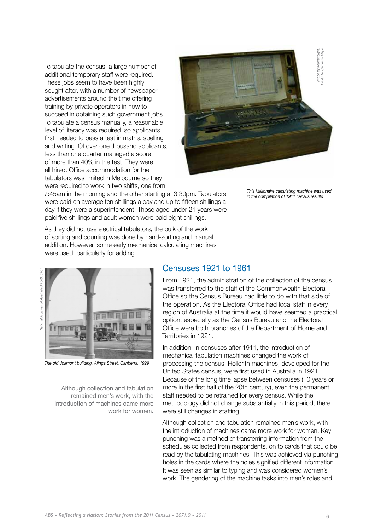To tabulate the census, a large number of additional temporary staff were required. These jobs seem to have been highly sought after, with a number of newspaper advertisements around the time offering training by private operators in how to succeed in obtaining such government jobs. To tabulate a census manually, a reasonable level of literacy was required, so applicants first needed to pass a test in maths, spelling and writing. Of over one thousand applicants, less than one quarter managed a score of more than 40% in the test. They were all hired. Office accommodation for the tabulators was limited in Melbourne so they were required to work in two shifts, one from



7:45am in the morning and the other starting at 3:30pm. Tabulators were paid on average ten shillings a day and up to fifteen shillings a day if they were a superintendent. Those aged under 21 years were paid five shillings and adult women were paid eight shillings.

*This Millionaire calculating machine was used* 

As they did not use electrical tabulators, the bulk of the work of sorting and counting was done by hand-sorting and manual addition. However, some early mechanical calculating machines were used, particularly for adding.

## *National Archives of Australia A3560, 5387* of Auctralia A3560 5387 Amhiyac latinnal



*The old Jolimont building, Alinga Street, Canberra, 1929*

Although collection and tabulation remained men's work, with the introduction of machines came more work for women.

#### Censuses 1921 to 1961

From 1921, the administration of the collection of the census was transferred to the staff of the Commonwealth Electoral Office so the Census Bureau had little to do with that side of the operation. As the Electoral Office had local staff in every region of Australia at the time it would have seemed a practical option, especially as the Census Bureau and the Electoral Office were both branches of the Department of Home and Territories in 1921.

In addition, in censuses after 1911, the introduction of mechanical tabulation machines changed the work of processing the census. Hollerith machines, developed for the United States census, were first used in Australia in 1921. Because of the long time lapse between censuses (10 years or more in the first half of the 20th century), even the permanent staff needed to be retrained for every census. While the methodology did not change substantially in this period, there were still changes in staffing.

Although collection and tabulation remained men's work, with the introduction of machines came more work for women. Key punching was a method of transferring information from the schedules collected from respondents, on to cards that could be read by the tabulating machines. This was achieved via punching holes in the cards where the holes signified different information. It was seen as similar to typing and was considered women's work. The gendering of the machine tasks into men's roles and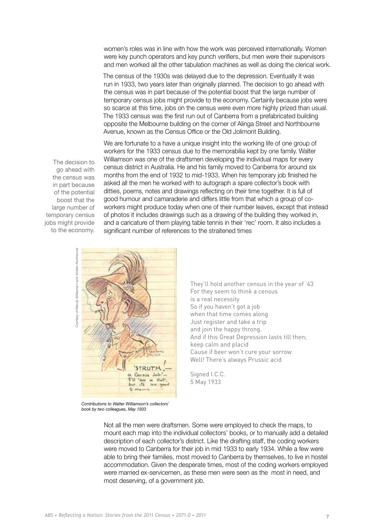women's roles was in line with how the work was perceived internationally. Women were key punch operators and key punch verifiers, but men were their supervisors and men worked all the other tabulation machines as well as doing the clerical work.

The census of the 1930s was delayed due to the depression. Eventually it was run in 1933, two years later than originally planned. The decision to go ahead with the census was in part because of the potential boost that the large number of temporary census jobs might provide to the economy. Certainly because jobs were so scarce at this time, jobs on the census were even more highly prized than usual. The 1933 census was the first run out of Canberra from a prefabricated building opposite the Melbourne building on the corner of Alinga Street and Northbourne Avenue, known as the Census Office or the Old Jolimont Building.

The decision to go ahead with the census was in part because of the potential boost that the large number of temporary census jobs might provide to the economy.

We are fortunate to a have a unique insight into the working life of one group of workers for the 1933 census due to the memorabilia kept by one family. Walter Williamson was one of the draftsmen developing the individual maps for every census district in Australia. He and his family moved to Canberra for around six months from the end of 1932 to mid-1933. When his temporary job finished he asked all the men he worked with to autograph a spare collector's book with ditties, poems, notes and drawings reflecting on their time together. It is full of good humour and camaraderie and differs little from that which a group of coworkers might produce today when one of their number leaves, except that instead of photos it includes drawings such as a drawing of the building they worked in, and a caricature of them playing table tennis in their 'rec' room. It also includes a significant number of references to the straitened times

and Kirsten Northwood *Courtesy of Wendy Williamson and Kirsten Northwood*utesy of Wendy Williamson



*Contributions to Walter Williamson's collectors' book by two colleagues, May 1933*

They'll hold another census in the year of '43 For they seem to think a census is a real necessity So if you haven't got a job when that time comes along Just register and take a trip and join the happy throng. And if this Great Depression lasts till then; keep calm and placid Cause if beer won't cure your sorrow Well! There's always Prussic acid

Signed I.C.C. 5 May 1933

Not all the men were draftsmen. Some were employed to check the maps, to mount each map into the individual collectors' books, or to manually add a detailed description of each collector's district. Like the drafting staff, the coding workers were moved to Canberra for their job in mid 1933 to early 1934. While a few were able to bring their families, most moved to Canberra by themselves, to live in hostel accommodation. Given the desperate times, most of the coding workers employed were married ex-servicemen, as these men were seen as the most in need, and most deserving, of a government job.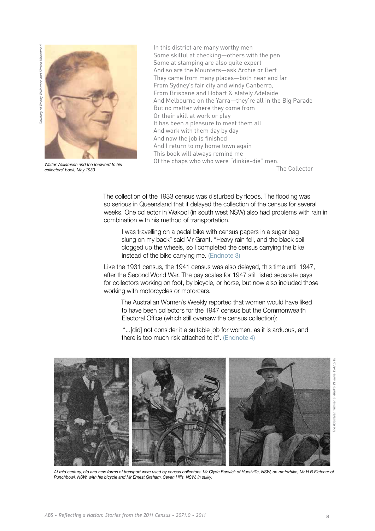<span id="page-7-0"></span>Courtesy of Wendy Williamson and Kirsten Northwood *Courtesy of Wendy Williamson and Kirsten Northwood*



*Walter Williamson and the foreword to his collectors' book, May 1933*

In this district are many worthy men Some skilful at checking—others with the pen Some at stamping are also quite expert And so are the Mounters—ask Archie or Bert They came from many places—both near and far From Sydney's fair city and windy Canberra, From Brisbane and Hobart & stately Adelaide And Melbourne on the Yarra—they're all in the Big Parade But no matter where they come from Or their skill at work or play It has been a pleasure to meet them all And work with them day by day And now the job is finished And I return to my home town again This book will always remind me Of the chaps who who were "dinkie-die" men. The Collector

The collection of the 1933 census was disturbed by floods. The flooding was so serious in Queensland that it delayed the collection of the census for several weeks. One collector in Wakool (in south west NSW) also had problems with rain in combination with his method of transportation.

I was travelling on a pedal bike with census papers in a sugar bag slung on my back" said Mr Grant. "Heavy rain fell, and the black soil clogged up the wheels, so I completed the census carrying the bike instead of the bike carrying me. [\(Endnote 3\)](#page-13-0)

Like the 1931 census, the 1941 census was also delayed, this time until 1947, after the Second World War. The pay scales for 1947 still listed separate pays for collectors working on foot, by bicycle, or horse, but now also included those working with motorcycles or motorcars.

The Australian Women's Weekly reported that women would have liked to have been collectors for the 1947 census but the Commonwealth Electoral Office (which still oversaw the census collection):

 "...[did] not consider it a suitable job for women, as it is arduous, and there is too much risk attached to it". [\(Endnote 4\)](#page-13-0)



*At mid century, old and new forms of transport were used by census collectors. Mr Clyde Barwick of Hurstville, NSW, on motorbike; Mr H B Fletcher of Punchbowl, NSW, with his bicycle and Mr Ernest Graham, Seven Hills, NSW, in sulky.*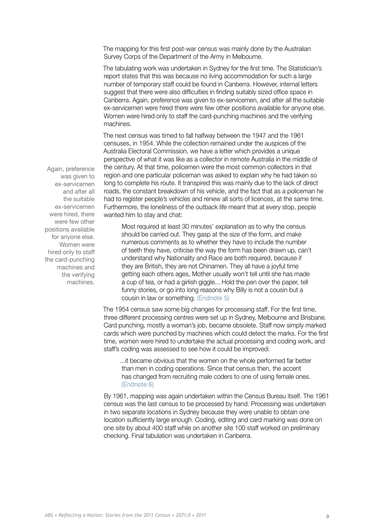<span id="page-8-0"></span>The mapping for this first post-war census was mainly done by the Australian Survey Corps of the Department of the Army in Melbourne.

The tabulating work was undertaken in Sydney for the first time. The Statistician's report states that this was because no living accommodation for such a large number of temporary staff could be found in Canberra. However, internal letters suggest that there were also difficulties in finding suitably sized office space in Canberra. Again, preference was given to ex-servicemen, and after all the suitable ex-servicemen were hired there were few other positions available for anyone else. Women were hired only to staff the card-punching machines and the verifying machines.

The next census was timed to fall halfway between the 1947 and the 1961 censuses, in 1954. While the collection remained under the auspices of the Australia Electoral Commission, we have a letter which provides a unique perspective of what it was like as a collector in remote Australia in the middle of the century. At that time, policemen were the most common collectors in that region and one particular policeman was asked to explain why he had taken so long to complete his route. It transpired this was mainly due to the lack of direct roads, the constant breakdown of his vehicle, and the fact that as a policeman he had to register people's vehicles and renew all sorts of licences, at the same time. Furthermore, the loneliness of the outback life meant that at every stop, people wanted him to stay and chat:

Most required at least 30 minutes' explanation as to why the census should be carried out. They gasp at the size of the form, and make numerous comments as to whether they have to include the number of teeth they have, criticise the way the form has been drawn up, can't understand why Nationality and Race are both required, because if they are British, they are not Chinamen. They all have a joyful time getting each others ages, Mother usually won't tell until she has made a cup of tea, or had a girlish giggle... Hold the pen over the paper, tell funny stories, or go into long reasons why Billy is not a cousin but a cousin in law or something. [\(Endnote 5\)](#page-13-0)

The 1954 census saw some big changes for processing staff. For the first time, three different processing centres were set up in Sydney, Melbourne and Brisbane. Card punching, mostly a woman's job, became obsolete. Staff now simply marked cards which were punched by machines which could detect the marks. For the first time, women were hired to undertake the actual processing and coding work, and staff's coding was assessed to see how it could be improved:

...it became obvious that the women on the whole performed far better than men in coding operations. Since that census then, the accent has changed from recruiting male coders to one of using female ones. [\(Endnote 6\)](#page-13-0)

By 1961, mapping was again undertaken within the Census Bureau itself. The 1961 census was the last census to be processed by hand. Processing was undertaken in two separate locations in Sydney because they were unable to obtain one location sufficiently large enough. Coding, editing and card marking was done on one site by about 400 staff while on another site 100 staff worked on preliminary checking. Final tabulation was undertaken in Canberra.

Again, preference was given to ex-servicemen and after all the suitable ex-servicemen were hired, there were few other positions available for anyone else. Women were hired only to staff the card-punching machines and the verifying machines.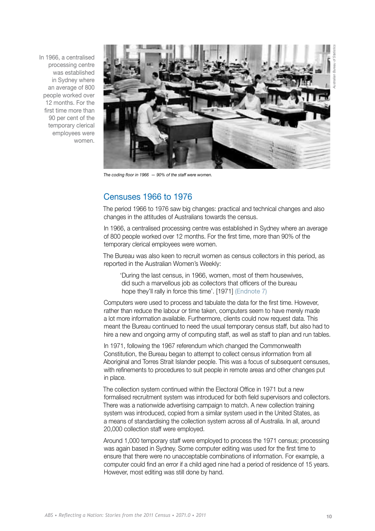<span id="page-9-0"></span>In 1966, a centralised processing centre was established in Sydney where an average of 800 people worked over 12 months. For the first time more than 90 per cent of the temporary clerical employees were women.



*The coding floor in 1966 — 90% of the staff were women.*

#### Censuses 1966 to 1976

The period 1966 to 1976 saw big changes: practical and technical changes and also changes in the attitudes of Australians towards the census.

In 1966, a centralised processing centre was established in Sydney where an average of 800 people worked over 12 months. For the first time, more than 90% of the temporary clerical employees were women.

The Bureau was also keen to recruit women as census collectors in this period, as reported in the Australian Women's Weekly:

'During the last census, in 1966, women, most of them housewives, did such a marvellous job as collectors that officers of the bureau hope they'll rally in force this time'. [1971] [\(Endnote 7\)](#page-13-0)

Computers were used to process and tabulate the data for the first time. However, rather than reduce the labour or time taken, computers seem to have merely made a lot more information available. Furthermore, clients could now request data. This meant the Bureau continued to need the usual temporary census staff, but also had to hire a new and ongoing army of computing staff, as well as staff to plan and run tables.

In 1971, following the 1967 referendum which changed the Commonwealth Constitution, the Bureau began to attempt to collect census information from all Aboriginal and Torres Strait Islander people. This was a focus of subsequent censuses, with refinements to procedures to suit people in remote areas and other changes put in place.

The collection system continued within the Electoral Office in 1971 but a new formalised recruitment system was introduced for both field supervisors and collectors. There was a nationwide advertising campaign to match. A new collection training system was introduced, copied from a similar system used in the United States, as a means of standardising the collection system across all of Australia. In all, around 20,000 collection staff were employed.

Around 1,000 temporary staff were employed to process the 1971 census; processing was again based in Sydney. Some computer editing was used for the first time to ensure that there were no unacceptable combinations of information. For example, a computer could find an error if a child aged nine had a period of residence of 15 years. However, most editing was still done by hand.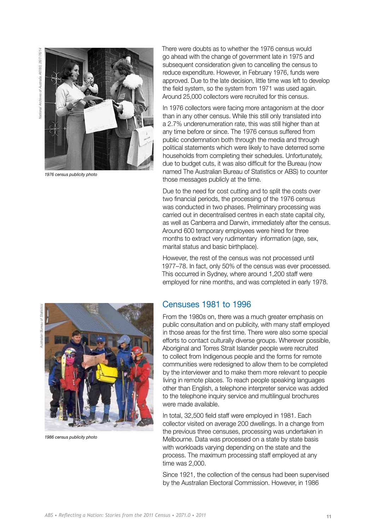*Australian Bureau of Statistics National Archives of Australia A6180, 26/7/76/14*26/7/76/1 Vational Archives of Australia A6180,



*1976 census publicity photo*

There were doubts as to whether the 1976 census would go ahead with the change of government late in 1975 and subsequent consideration given to cancelling the census to reduce expenditure. However, in February 1976, funds were approved. Due to the late decision, little time was left to develop the field system, so the system from 1971 was used again. Around 25,000 collectors were recruited for this census.

In 1976 collectors were facing more antagonism at the door than in any other census. While this still only translated into a 2.7% underenumeration rate, this was still higher than at any time before or since. The 1976 census suffered from public condemnation both through the media and through political statements which were likely to have deterred some households from completing their schedules. Unfortunately, due to budget cuts, it was also difficult for the Bureau (now named The Australian Bureau of Statistics or ABS) to counter those messages publicly at the time.

Due to the need for cost cutting and to split the costs over two financial periods, the processing of the 1976 census was conducted in two phases. Preliminary processing was carried out in decentralised centres in each state capital city, as well as Canberra and Darwin, immediately after the census. Around 600 temporary employees were hired for three months to extract very rudimentary information (age, sex, marital status and basic birthplace).

However, the rest of the census was not processed until 1977–78. In fact, only 50% of the census was ever processed. This occurred in Sydney, where around 1,200 staff were employed for nine months, and was completed in early 1978.

#### Censuses 1981 to 1996

From the 1980s on, there was a much greater emphasis on public consultation and on publicity, with many staff employed in those areas for the first time. There were also some special efforts to contact culturally diverse groups. Wherever possible, Aboriginal and Torres Strait Islander people were recruited to collect from Indigenous people and the forms for remote communities were redesigned to allow them to be completed by the interviewer and to make them more relevant to people living in remote places. To reach people speaking languages other than English, a telephone interpreter service was added to the telephone inquiry service and multilingual brochures were made available.

In total, 32,500 field staff were employed in 1981. Each collector visited on average 200 dwellings. In a change from the previous three censuses, processing was undertaken in Melbourne. Data was processed on a state by state basis with workloads varying depending on the state and the process. The maximum processing staff employed at any time was 2,000.

Since 1921, the collection of the census had been supervised by the Australian Electoral Commission. However, in 1986



*1986 census publicity photo*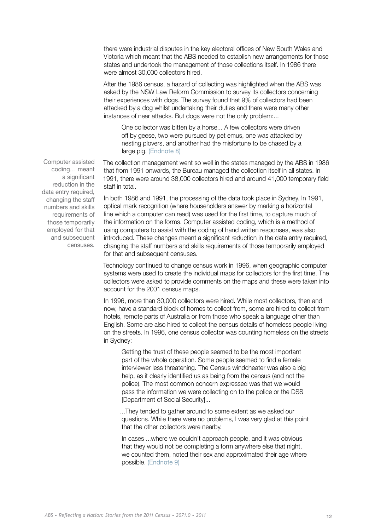<span id="page-11-0"></span>there were industrial disputes in the key electoral offices of New South Wales and Victoria which meant that the ABS needed to establish new arrangements for those states and undertook the management of those collections itself. In 1986 there were almost 30,000 collectors hired.

After the 1986 census, a hazard of collecting was highlighted when the ABS was asked by the NSW Law Reform Commission to survey its collectors concerning their experiences with dogs. The survey found that 9% of collectors had been attacked by a dog whilst undertaking their duties and there were many other instances of near attacks. But dogs were not the only problem:...

One collector was bitten by a horse... A few collectors were driven off by geese, two were pursued by pet emus, one was attacked by nesting plovers, and another had the misfortune to be chased by a large pig. [\(Endnote 8\)](#page-13-0)

The collection management went so well in the states managed by the ABS in 1986 that from 1991 onwards, the Bureau managed the collection itself in all states. In 1991, there were around 38,000 collectors hired and around 41,000 temporary field staff in total.

In both 1986 and 1991, the processing of the data took place in Sydney. In 1991, optical mark recognition (where householders answer by marking a horizontal line which a computer can read) was used for the first time, to capture much of the information on the forms. Computer assisted coding, which is a method of using computers to assist with the coding of hand written responses, was also introduced. These changes meant a significant reduction in the data entry required, changing the staff numbers and skills requirements of those temporarily employed for that and subsequent censuses.

Technology continued to change census work in 1996, when geographic computer systems were used to create the individual maps for collectors for the first time. The collectors were asked to provide comments on the maps and these were taken into account for the 2001 census maps.

In 1996, more than 30,000 collectors were hired. While most collectors, then and now, have a standard block of homes to collect from, some are hired to collect from hotels, remote parts of Australia or from those who speak a language other than English. Some are also hired to collect the census details of homeless people living on the streets. In 1996, one census collector was counting homeless on the streets in Sydney:

Getting the trust of these people seemed to be the most important part of the whole operation. Some people seemed to find a female interviewer less threatening. The Census windcheater was also a big help, as it clearly identified us as being from the census (and not the police). The most common concern expressed was that we would pass the information we were collecting on to the police or the DSS [Department of Social Security]...

...They tended to gather around to some extent as we asked our questions. While there were no problems, I was very glad at this point that the other collectors were nearby.

In cases ...where we couldn't approach people, and it was obvious that they would not be completing a form anywhere else that night, we counted them, noted their sex and approximated their age where possible. [\(Endnote 9\)](#page-13-0)

Computer assisted coding… meant a significant reduction in the data entry required, changing the staff numbers and skills requirements of those temporarily employed for that and subsequent censuses.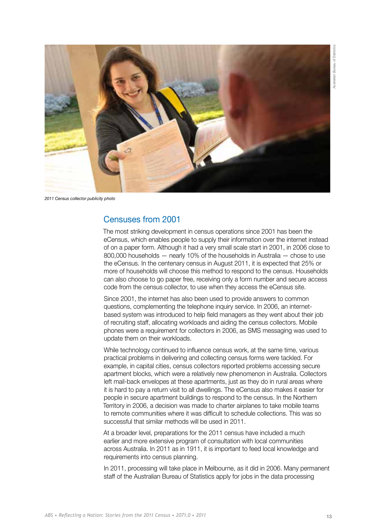

*2011 Census collector publicity photo*

#### Censuses from 2001

The most striking development in census operations since 2001 has been the eCensus, which enables people to supply their information over the internet instead of on a paper form. Although it had a very small scale start in 2001, in 2006 close to 800,000 households — nearly 10% of the households in Australia — chose to use the eCensus. In the centenary census in August 2011, it is expected that 25% or more of households will choose this method to respond to the census. Households can also choose to go paper free, receiving only a form number and secure access code from the census collector, to use when they access the eCensus site.

Since 2001, the internet has also been used to provide answers to common questions, complementing the telephone inquiry service. In 2006, an internetbased system was introduced to help field managers as they went about their job of recruiting staff, allocating workloads and aiding the census collectors. Mobile phones were a requirement for collectors in 2006, as SMS messaging was used to update them on their workloads.

While technology continued to influence census work, at the same time, various practical problems in delivering and collecting census forms were tackled. For example, in capital cities, census collectors reported problems accessing secure apartment blocks, which were a relatively new phenomenon in Australia. Collectors left mail-back envelopes at these apartments, just as they do in rural areas where it is hard to pay a return visit to all dwellings. The eCensus also makes it easier for people in secure apartment buildings to respond to the census. In the Northern Territory in 2006, a decision was made to charter airplanes to take mobile teams to remote communities where it was difficult to schedule collections. This was so successful that similar methods will be used in 2011.

At a broader level, preparations for the 2011 census have included a much earlier and more extensive program of consultation with local communities across Australia. In 2011 as in 1911, it is important to feed local knowledge and requirements into census planning.

In 2011, processing will take place in Melbourne, as it did in 2006. Many permanent staff of the Australian Bureau of Statistics apply for jobs in the data processing